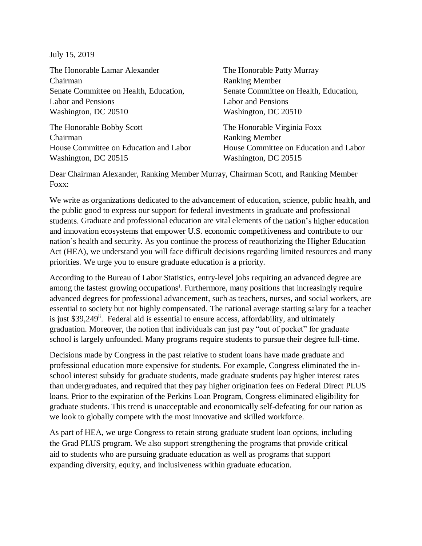July 15, 2019

The Honorable Lamar Alexander Chairman Senate Committee on Health, Education, Labor and Pensions Washington, DC 20510

The Honorable Bobby Scott Chairman House Committee on Education and Labor Washington, DC 20515

The Honorable Patty Murray Ranking Member Senate Committee on Health, Education, Labor and Pensions Washington, DC 20510

The Honorable Virginia Foxx Ranking Member House Committee on Education and Labor Washington, DC 20515

Dear Chairman Alexander, Ranking Member Murray, Chairman Scott, and Ranking Member Foxx:

We write as organizations dedicated to the advancement of education, science, public health, and the public good to express our support for federal investments in graduate and professional students. Graduate and professional education are vital elements of the nation's higher education and innovation ecosystems that empower U.S. economic competitiveness and contribute to our nation's health and security. As you continue the process of reauthorizing the Higher Education Act (HEA), we understand you will face difficult decisions regarding limited resources and many priorities. We urge you to ensure graduate education is a priority.

According to the Bureau of Labor Statistics, entry-level jobs requiring an advanced degree are among the fastest growing occupations<sup>i</sup>. Furthermore, many positions that increasingly require advanced degrees for professional advancement, such as teachers, nurses, and social workers, are essential to society but not highly compensated. The national average starting salary for a teacher is just \$39,249<sup>ii</sup>. Federal aid is essential to ensure access, affordability, and ultimately graduation. Moreover, the notion that individuals can just pay "out of pocket" for graduate school is largely unfounded. Many programs require students to pursue their degree full-time.

Decisions made by Congress in the past relative to student loans have made graduate and professional education more expensive for students. For example, Congress eliminated the inschool interest subsidy for graduate students, made graduate students pay higher interest rates than undergraduates, and required that they pay higher origination fees on Federal Direct PLUS loans. Prior to the expiration of the Perkins Loan Program, Congress eliminated eligibility for graduate students. This trend is unacceptable and economically self-defeating for our nation as we look to globally compete with the most innovative and skilled workforce.

As part of HEA, we urge Congress to retain strong graduate student loan options, including the Grad PLUS program. We also support strengthening the programs that provide critical aid to students who are pursuing graduate education as well as programs that support expanding diversity, equity, and inclusiveness within graduate education.